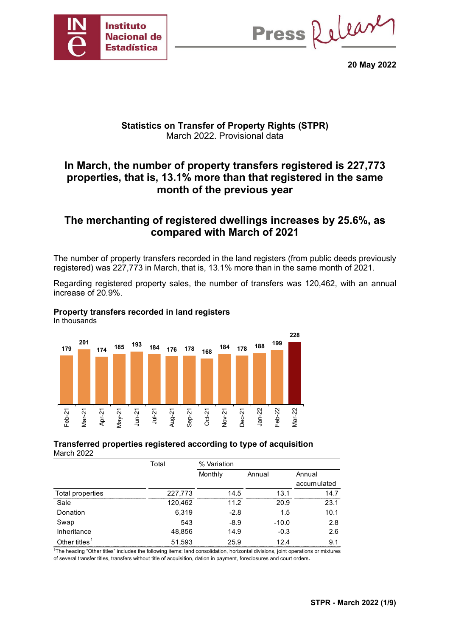

Press Release

**20 May 2022**

### **Statistics on Transfer of Property Rights (STPR)** March 2022. Provisional data

## **In March, the number of property transfers registered is 227,773 properties, that is, 13.1% more than that registered in the same month of the previous year**

## **The merchanting of registered dwellings increases by 25.6%, as compared with March of 2021**

The number of property transfers recorded in the land registers (from public deeds previously registered) was 227,773 in March, that is, 13.1% more than in the same month of 2021.

Regarding registered property sales, the number of transfers was 120,462, with an annual increase of 20.9%.

#### **Property transfers recorded in land registers**

In thousands



#### **Transferred properties registered according to type of acquisition** March 2022

|                           | Total   | % Variation |         |             |  |  |
|---------------------------|---------|-------------|---------|-------------|--|--|
|                           |         | Monthly     | Annual  | Annual      |  |  |
|                           |         |             |         | accumulated |  |  |
| Total properties          | 227,773 | 14.5        | 13.1    | 14.7        |  |  |
| Sale                      | 120,462 | 11.2        | 20.9    | 23.1        |  |  |
| Donation                  | 6,319   | $-2.8$      | 1.5     | 10.1        |  |  |
| Swap                      | 543     | $-8.9$      | $-10.0$ | 2.8         |  |  |
| Inheritance               | 48,856  | 14.9        | $-0.3$  | 2.6         |  |  |
| Other titles <sup>1</sup> | 51,593  | 25.9        | 12.4    | 9.1         |  |  |

1The heading "Other titles" includes the following items: land consolidation, horizontal divisions, joint operations or mixtures of several transfer titles, transfers without title of acquisition, dation in payment, foreclosures and court orders.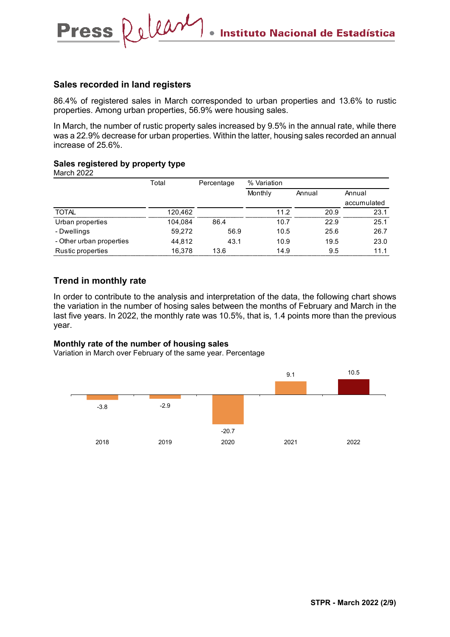#### **Sales recorded in land registers**

Release

86.4% of registered sales in March corresponded to urban properties and 13.6% to rustic properties. Among urban properties, 56.9% were housing sales.

In March, the number of rustic property sales increased by 9.5% in the annual rate, while there was a 22.9% decrease for urban properties. Within the latter, housing sales recorded an annual increase of 25.6%.

#### **Sales registered by property type**

March 2022

**Press** 

|                          | Total   | Percentage | % Variation |        |             |  |
|--------------------------|---------|------------|-------------|--------|-------------|--|
|                          |         |            | Monthly     | Annual | Annual      |  |
|                          |         |            |             |        | accumulated |  |
| <b>TOTAL</b>             | 120,462 |            | 11.2        | 20.9   | 23.1        |  |
| Urban properties         | 104.084 | 86.4       | 10.7        | 22.9   | 25.1        |  |
| - Dwellings              | 59,272  | 56.9       | 10.5        | 25.6   | 26.7        |  |
| - Other urban properties | 44,812  | 43.1       | 10.9        | 19.5   | 23.0        |  |
| Rustic properties        | 16,378  | 13.6       | 14.9        | 9.5    | 11.1        |  |

#### **Trend in monthly rate**

In order to contribute to the analysis and interpretation of the data, the following chart shows the variation in the number of hosing sales between the months of February and March in the last five years. In 2022, the monthly rate was 10.5%, that is, 1.4 points more than the previous year.

#### **Monthly rate of the number of housing sales**

Variation in March over February of the same year. Percentage

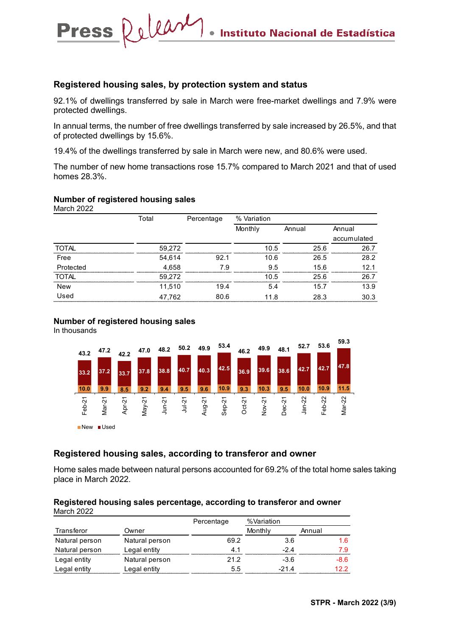#### **Registered housing sales, by protection system and status**

92.1% of dwellings transferred by sale in March were free-market dwellings and 7.9% were protected dwellings.

In annual terms, the number of free dwellings transferred by sale increased by 26.5%, and that of protected dwellings by 15.6%.

19.4% of the dwellings transferred by sale in March were new, and 80.6% were used.

The number of new home transactions rose 15.7% compared to March 2021 and that of used homes 28.3%.

#### **Number of registered housing sales**

Press Release

March 2022

|              | Total  | Percentage | % Variation |        |             |
|--------------|--------|------------|-------------|--------|-------------|
|              |        |            | Monthly     | Annual | Annual      |
|              |        |            |             |        | accumulated |
| <b>TOTAL</b> | 59,272 |            | 10.5        | 25.6   | 26.7        |
| Free         | 54,614 | 92.1       | 10.6        | 26.5   | 28.2        |
| Protected    | 4,658  | 7.9        | 9.5         | 15.6   | 12.1        |
| ТОТАІ        | 59,272 |            | 10.5        | 25.6   | 26.7        |
| <b>New</b>   | 11,510 | 19.4       | 5.4         | 15.7   | 13.9        |
| Used         | 47,762 | 80.6       | 11.8        | 28.3   | 30.3        |

#### **Number of registered housing sales**

In thousands



#### **Registered housing sales, according to transferor and owner**

Home sales made between natural persons accounted for 69.2% of the total home sales taking place in March 2022.

#### **Registered housing sales percentage, according to transferor and owner** March 2022

|                |                | Percentage | %Variation |        |
|----------------|----------------|------------|------------|--------|
| Transferor     | Owner          |            | Monthly    | Annual |
| Natural person | Natural person | 69.2       | 3.6        |        |
| Natural person | Legal entity   |            | -24        | 79     |
| Legal entity   | Natural person | 21.2       | $-3.6$     | -86    |
| Legal entity   | Legal entity   | 5.5        | -214       | 12 2   |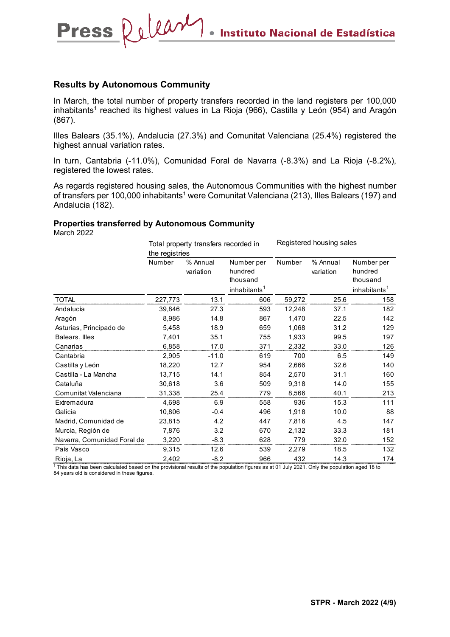#### **Results by Autonomous Community**

Press Releary

In March, the total number of property transfers recorded in the land registers per 100,000 inhabitants<sup>1</sup> reached its highest values in La Rioja (966), Castilla y León (954) and Aragón (867).

Illes Balears (35.1%), Andalucia (27.3%) and Comunitat Valenciana (25.4%) registered the highest annual variation rates.

In turn, Cantabria (-11.0%), Comunidad Foral de Navarra (-8.3%) and La Rioja (-8.2%), registered the lowest rates.

As regards registered housing sales, the Autonomous Communities with the highest number of transfers per 100,000 inhabitants<sup>1</sup> were Comunitat Valenciana (213), Illes Balears (197) and Andalucia (182).

#### **Properties transferred by Autonomous Community**

March 2022

|                             | Total property transfers recorded in |                       |                          | Registered housing sales |                       |                          |
|-----------------------------|--------------------------------------|-----------------------|--------------------------|--------------------------|-----------------------|--------------------------|
|                             | the registries                       |                       |                          |                          |                       |                          |
|                             | Number                               | % Annual<br>variation | Number per<br>hundred    | Number                   | % Annual<br>variation | Number per<br>hundred    |
|                             |                                      |                       | thousand                 |                          |                       | thousand                 |
|                             |                                      |                       | inhabitants <sup>1</sup> |                          |                       | inhabitants <sup>1</sup> |
| <b>TOTAL</b>                | 227,773                              | 13.1                  | 606                      | 59,272                   | 25.6                  | 158                      |
| Andalucía                   | 39,846                               | 27.3                  | 593                      | 12,248                   | 37.1                  | 182                      |
| Aragón                      | 8,986                                | 14.8                  | 867                      | 1,470                    | 22.5                  | 142                      |
| Asturias, Principado de     | 5,458                                | 18.9                  | 659                      | 1,068                    | 31.2                  | 129                      |
| Balears, Illes              | 7,401                                | 35.1                  | 755                      | 1,933                    | 99.5                  | 197                      |
| Canarias                    | 6,858                                | 17.0                  | 371                      | 2,332                    | 33.0                  | 126                      |
| Cantabria                   | 2.905                                | $-11.0$               | 619                      | 700                      | 6.5                   | 149                      |
| Castilla y León             | 18,220                               | 12.7                  | 954                      | 2,666                    | 32.6                  | 140                      |
| Castilla - La Mancha        | 13,715                               | 14.1                  | 854                      | 2,570                    | 31.1                  | 160                      |
| Cataluña                    | 30,618                               | 3.6                   | 509                      | 9,318                    | 14.0                  | 155                      |
| Comunitat Valenciana        | 31,338                               | 25.4                  | 779                      | 8,566                    | 40.1                  | 213                      |
| Extremadura                 | 4,698                                | 6.9                   | 558                      | 936                      | 15.3                  | 111                      |
| Galicia                     | 10,806                               | $-0.4$                | 496                      | 1,918                    | 10.0                  | 88                       |
| Madrid, Comunidad de        | 23,815                               | 4.2                   | 447                      | 7,816                    | 4.5                   | 147                      |
| Murcia, Región de           | 7,876                                | 3.2                   | 670                      | 2,132                    | 33.3                  | 181                      |
| Navarra, Comunidad Foral de | 3,220                                | $-8.3$                | 628                      | 779                      | 32.0                  | 152                      |
| País Vasco                  | 9,315                                | 12.6                  | 539                      | 2,279                    | 18.5                  | 132                      |
| Rioja, La                   | 2,402                                | $-8.2$                | 966                      | 432                      | 14.3                  | 174                      |

<sup>1</sup> This data has been calculated based on the provisional results of the population figures as at 01 July 2021. Only the population aged 18 to 84 years old is considered in these figures.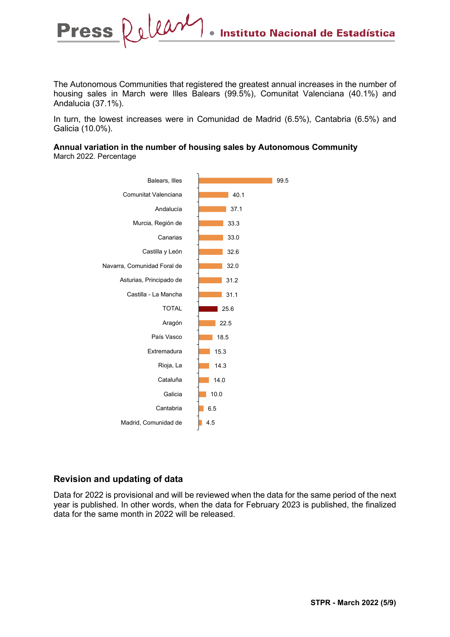The Autonomous Communities that registered the greatest annual increases in the number of housing sales in March were Illes Balears (99.5%), Comunitat Valenciana (40.1%) and Andalucia (37.1%).

In turn, the lowest increases were in Comunidad de Madrid (6.5%), Cantabria (6.5%) and Galicia (10.0%).

#### **Annual variation in the number of housing sales by Autonomous Community** March 2022. Percentage



#### **Revision and updating of data**

Data for 2022 is provisional and will be reviewed when the data for the same period of the next year is published. In other words, when the data for February 2023 is published, the finalized data for the same month in 2022 will be released.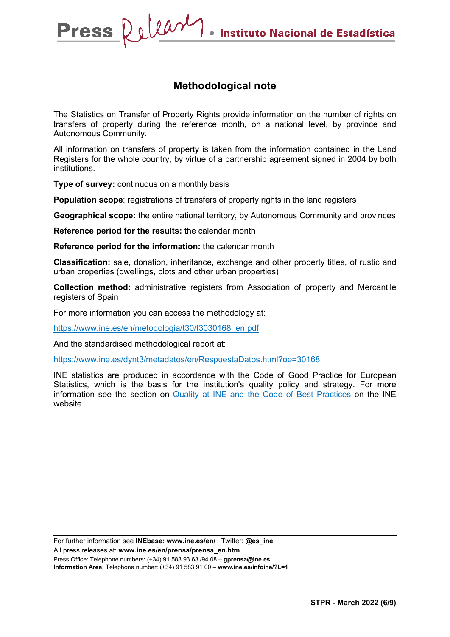### **Methodological note**

The Statistics on Transfer of Property Rights provide information on the number of rights on transfers of property during the reference month, on a national level, by province and Autonomous Community.

All information on transfers of property is taken from the information contained in the Land Registers for the whole country, by virtue of a partnership agreement signed in 2004 by both institutions.

**Type of survey:** continuous on a monthly basis

**Population scope:** registrations of transfers of property rights in the land registers

**Geographical scope:** the entire national territory, by Autonomous Community and provinces

**Reference period for the results:** the calendar month

**Reference period for the information:** the calendar month

**Classification:** sale, donation, inheritance, exchange and other property titles, of rustic and urban properties (dwellings, plots and other urban properties)

**Collection method:** administrative registers from Association of property and Mercantile registers of Spain

For more information you can access the methodology at:

[https://www.ine.es/en/metodologia/t30/t3030168\\_en.pdf](https://www.ine.es/en/metodologia/t30/t3030168_en.pdf)

And the standardised methodological report at:

<https://www.ine.es/dynt3/metadatos/en/RespuestaDatos.html?oe=30168>

INE statistics are produced in accordance with the Code of Good Practice for European Statistics, which is the basis for the institution's quality policy and strategy. For more information see the section on [Quality at INE and the Code of Best Practices](https://www.ine.es/ss/Satellite?L=es_ES&c=Page&cid=1259943453642&p=1259943453642&pagename=MetodologiaYEstandares/INELayout) on the INE website.

For further information see **INEbase: www.ine.es/en/** Twitter: **@es\_ine** All press releases at: **www.ine.es/en/prensa/prensa\_en.htm**

Press Office: Telephone numbers: (+34) 91 583 93 63 /94 08 – **gprensa@ine.es Information Area:** Telephone number: (+34) 91 583 91 00 – **www.ine.es/infoine/?L=1**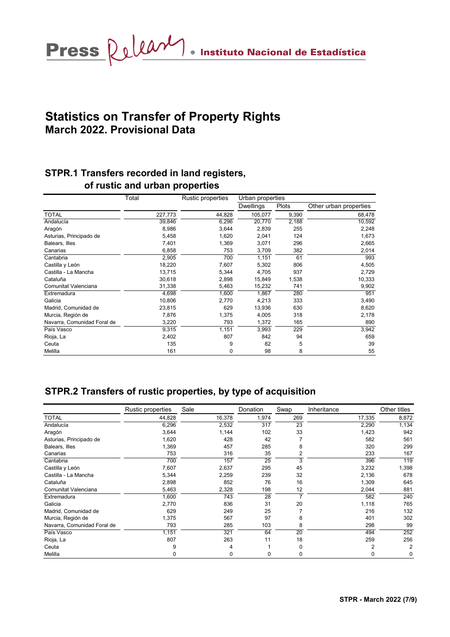Press Releary · Instituto Nacional de Estadística

# **Statistics on Transfer of Property Rights March 2022. Provisional Data**

# **STPR.1 Transfers recorded in land registers, of rustic and urban properties**

|                             | Total   | Rustic properties | Urban properties |       |                        |  |
|-----------------------------|---------|-------------------|------------------|-------|------------------------|--|
|                             |         |                   | <b>Dwellings</b> | Plots | Other urban properties |  |
| <b>TOTAL</b>                | 227,773 | 44,828            | 105,077          | 9,390 | 68,478                 |  |
| Andalucía                   | 39,846  | 6,296             | 20,770           | 2,188 | 10,592                 |  |
| Aragón                      | 8,986   | 3,644             | 2,839            | 255   | 2,248                  |  |
| Asturias, Principado de     | 5,458   | 1,620             | 2,041            | 124   | 1,673                  |  |
| Balears, Illes              | 7,401   | 1,369             | 3,071            | 296   | 2,665                  |  |
| Canarias                    | 6,858   | 753               | 3,709            | 382   | 2,014                  |  |
| Cantabria                   | 2,905   | 700               | 1,151            | 61    | 993                    |  |
| Castilla y León             | 18,220  | 7,607             | 5,302            | 806   | 4,505                  |  |
| Castilla - La Mancha        | 13,715  | 5,344             | 4,705            | 937   | 2,729                  |  |
| Cataluña                    | 30,618  | 2,898             | 15,849           | 1,538 | 10,333                 |  |
| Comunitat Valenciana        | 31,338  | 5,463             | 15,232           | 741   | 9,902                  |  |
| Extremadura                 | 4,698   | 1,600             | 1,867            | 280   | 951                    |  |
| Galicia                     | 10,806  | 2,770             | 4,213            | 333   | 3,490                  |  |
| Madrid, Comunidad de        | 23,815  | 629               | 13,936           | 630   | 8,620                  |  |
| Murcia, Región de           | 7,876   | 1,375             | 4,005            | 318   | 2,178                  |  |
| Navarra, Comunidad Foral de | 3,220   | 793               | 1,372            | 165   | 890                    |  |
| País Vasco                  | 9,315   | 1,151             | 3,993            | 229   | 3,942                  |  |
| Rioja, La                   | 2,402   | 807               | 842              | 94    | 659                    |  |
| Ceuta                       | 135     | 9                 | 82               | 5     | 39                     |  |
| Melilla                     | 161     | 0                 | 98               | 8     | 55                     |  |

## **STPR.2 Transfers of rustic properties, by type of acquisition**

|                             | Rustic properties | Sale   | Donation | Swap           | Inheritance    | Other titles   |
|-----------------------------|-------------------|--------|----------|----------------|----------------|----------------|
| <b>TOTAL</b>                | 44,828            | 16,378 | 1,974    | 269            | 17,335         | 8,872          |
| Andalucía                   | 6,296             | 2,532  | 317      | 23             | 2,290          | 1,134          |
| Aragón                      | 3,644             | 1,144  | 102      | 33             | 1,423          | 942            |
| Asturias, Principado de     | 1,620             | 428    | 42       |                | 582            | 561            |
| Balears, Illes              | 1,369             | 457    | 285      | 8              | 320            | 299            |
| Canarias                    | 753               | 316    | 35       | 2              | 233            | 167            |
| Cantabria                   | 700               | 157    | 25       | 3              | 396            | 119            |
| Castilla y León             | 7,607             | 2,637  | 295      | 45             | 3,232          | 1,398          |
| Castilla - La Mancha        | 5,344             | 2,259  | 239      | 32             | 2,136          | 678            |
| Cataluña                    | 2,898             | 852    | 76       | 16             | 1,309          | 645            |
| Comunitat Valenciana        | 5,463             | 2,328  | 198      | 12             | 2,044          | 881            |
| Extremadura                 | 1,600             | 743    | 28       | $\overline{ }$ | 582            | 240            |
| Galicia                     | 2,770             | 836    | 31       | 20             | 1,118          | 765            |
| Madrid, Comunidad de        | 629               | 249    | 25       |                | 216            | 132            |
| Murcia, Región de           | 1,375             | 567    | 97       | 8              | 401            | 302            |
| Navarra, Comunidad Foral de | 793               | 285    | 103      | 8              | 298            | 99             |
| País Vasco                  | 1,151             | 321    | 64       | 20             | 494            | 252            |
| Rioja, La                   | 807               | 263    | 11       | 18             | 259            | 256            |
| Ceuta                       | 9                 | 4      |          | $\Omega$       | $\overline{2}$ | $\overline{2}$ |
| Melilla                     | 0                 | 0      | 0        | 0              | 0              | 0              |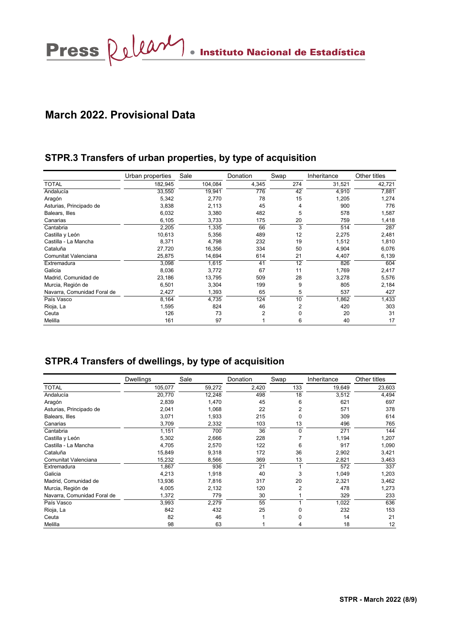# **March 2022. Provisional Data**

### **STPR.3 Transfers of urban properties, by type of acquisition**

|                             | Urban properties | Sale    | Donation | Swap | Inheritance | Other titles |
|-----------------------------|------------------|---------|----------|------|-------------|--------------|
| <b>TOTAL</b>                | 182,945          | 104,084 | 4,345    | 274  | 31,521      | 42,721       |
| Andalucía                   | 33,550           | 19,941  | 776      | 42   | 4,910       | 7,881        |
| Aragón                      | 5,342            | 2,770   | 78       | 15   | 1,205       | 1,274        |
| Asturias, Principado de     | 3,838            | 2,113   | 45       | 4    | 900         | 776          |
| Balears, Illes              | 6,032            | 3,380   | 482      | 5    | 578         | 1,587        |
| Canarias                    | 6,105            | 3,733   | 175      | 20   | 759         | 1,418        |
| Cantabria                   | 2,205            | 1,335   | 66       | 3    | 514         | 287          |
| Castilla y León             | 10,613           | 5,356   | 489      | 12   | 2,275       | 2,481        |
| Castilla - La Mancha        | 8,371            | 4,798   | 232      | 19   | 1,512       | 1,810        |
| Cataluña                    | 27,720           | 16,356  | 334      | 50   | 4,904       | 6,076        |
| Comunitat Valenciana        | 25,875           | 14,694  | 614      | 21   | 4,407       | 6,139        |
| Extremadura                 | 3,098            | 1,615   | 41       | 12   | 826         | 604          |
| Galicia                     | 8,036            | 3,772   | 67       | 11   | 1,769       | 2,417        |
| Madrid, Comunidad de        | 23,186           | 13.795  | 509      | 28   | 3,278       | 5,576        |
| Murcia, Región de           | 6,501            | 3,304   | 199      | 9    | 805         | 2,184        |
| Navarra, Comunidad Foral de | 2,427            | 1,393   | 65       | 5    | 537         | 427          |
| País Vasco                  | 8,164            | 4,735   | 124      | 10   | 1,862       | 1,433        |
| Rioja, La                   | 1,595            | 824     | 46       | 2    | 420         | 303          |
| Ceuta                       | 126              | 73      | 2        | 0    | 20          | 31           |
| Melilla                     | 161              | 97      |          | 6    | 40          | 17           |

## **STPR.4 Transfers of dwellings, by type of acquisition**

|                             | <b>Dwellings</b> | Sale   | Donation | Swap           | Inheritance | Other titles |
|-----------------------------|------------------|--------|----------|----------------|-------------|--------------|
| <b>TOTAL</b>                | 105,077          | 59,272 | 2,420    | 133            | 19,649      | 23,603       |
| Andalucía                   | 20,770           | 12,248 | 498      | 18             | 3,512       | 4,494        |
| Aragón                      | 2,839            | 1,470  | 45       | 6              | 621         | 697          |
| Asturias, Principado de     | 2,041            | 1,068  | 22       | 2              | 571         | 378          |
| Balears, Illes              | 3,071            | 1,933  | 215      | 0              | 309         | 614          |
| Canarias                    | 3,709            | 2,332  | 103      | 13             | 496         | 765          |
| Cantabria                   | 1,151            | 700    | 36       | 0              | 271         | 144          |
| Castilla y León             | 5,302            | 2,666  | 228      |                | 1,194       | 1,207        |
| Castilla - La Mancha        | 4,705            | 2,570  | 122      | 6              | 917         | 1,090        |
| Cataluña                    | 15,849           | 9,318  | 172      | 36             | 2,902       | 3,421        |
| Comunitat Valenciana        | 15,232           | 8,566  | 369      | 13             | 2,821       | 3,463        |
| Extremadura                 | 1,867            | 936    | 21       |                | 572         | 337          |
| Galicia                     | 4,213            | 1,918  | 40       | 3              | 1,049       | 1,203        |
| Madrid, Comunidad de        | 13,936           | 7,816  | 317      | 20             | 2,321       | 3,462        |
| Murcia, Región de           | 4,005            | 2,132  | 120      | $\overline{2}$ | 478         | 1,273        |
| Navarra, Comunidad Foral de | 1,372            | 779    | 30       |                | 329         | 233          |
| País Vasco                  | 3,993            | 2,279  | 55       |                | 1,022       | 636          |
| Rioja, La                   | 842              | 432    | 25       |                | 232         | 153          |
| Ceuta                       | 82               | 46     |          | 0              | 14          | 21           |
| Melilla                     | 98               | 63     |          |                | 18          | 12           |